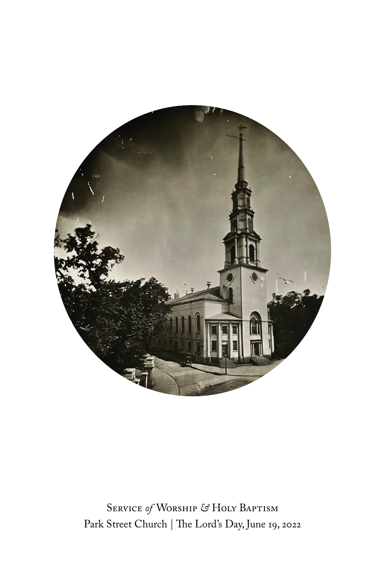

Service *of* Worship *&* Holy Baptism Park Street Church | The Lord's Day, June 19, 2022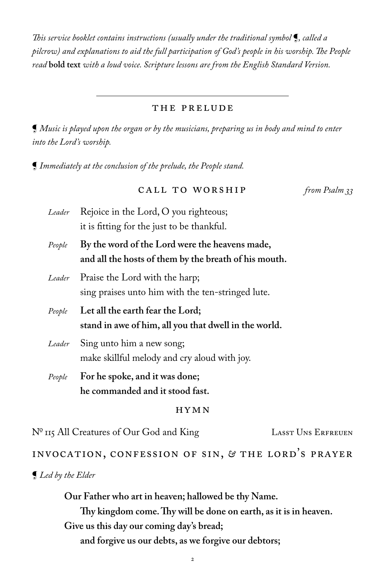*is service booklet contains instructions (usually under the traditional symbol* ¶*, called a*  pilcrow) and explanations to aid the full participation of God's people in his worship. The People *read* **bold text** *with a loud voice. Scripture lessons are from the English Standard Version.*

#### the prelude

¶ *Music is played upon the organ or by the musicians, preparing us in body and mind to enter into the Lord's worship.* 

¶ *Immediately at the conclusion of the prelude, the People stand.*

| CALL TO WORSHIP | from Psalm 33 |
|-----------------|---------------|
|-----------------|---------------|

- *Leader* Rejoice in the Lord, O you righteous; it is fitting for the just to be thankful.
- *People* **By the word of the Lord were the heavens made, and all the hosts of them by the breath of his mouth.**
- *Leader* Praise the Lord with the harp; sing praises unto him with the ten-stringed lute.
- *People* **Let all the earth fear the Lord; stand in awe of him, all you that dwell in the world.**
- *Leader* Sing unto him a new song; make skillful melody and cry aloud with joy.
- *People* **For he spoke, and it was done; he commanded and it stood fast.**

#### hymn

N<sup>o</sup> 115 All Creatures of Our God and King LASST UNS ERFREUEN

### INVOCATION, CONFESSION OF SIN, *&* THE LORD'S PRAYER

#### ¶ *Led by the Elder*

**Our Father who art in heaven; hallowed be thy Name.** 

Thy kingdom come. Thy will be done on earth, as it is in heaven. **Give us this day our coming day's bread;** 

 **and forgive us our debts, as we forgive our debtors;**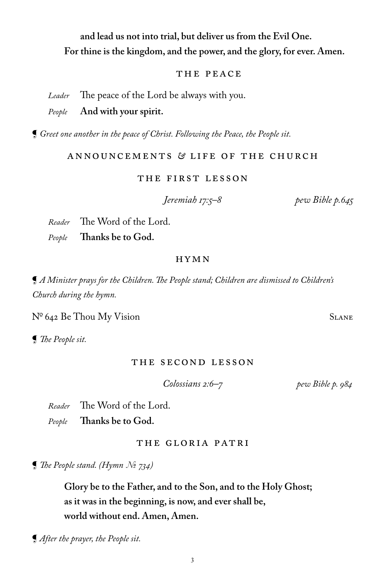# ¶ *After the prayer, the People sit.*

 **and lead us not into trial, but deliver us from the Evil One. For thine is the kingdom, and the power, and the glory, for ever. Amen.**

### THE PEACE

*Leader* The peace of the Lord be always with you.

### *People* **And with your spirit.**

¶ *Greet one another in the peace of Christ. Following the Peace, the People sit.*

### Announcements *&* LIFE OF THE CHURCH

### The First Lesson

 *Jeremiah 17:5–8 pew Bible p.645*

*Reader* The Word of the Lord. People **Thanks be to God.** 

### HYMN

 $\P$  *A Minister prays for the Children. The People stand; Children are dismissed to Children's Church during the hymn.*

 $N^{\circ}$  642 Be Thou My Vision SLANE

 $\Box$  *The People sit.* 

### The Second Lesson

 *Colossians 2:6–7 pew Bible p. 984*

*Reader* The Word of the Lord. People **Thanks be to God.** 

the Gloria Patri

¶ *' e People stand. (Hymn № 734)*

**Glory be to the Father, and to the Son, and to the Holy Ghost; as it was in the beginning, is now, and ever shall be, world without end. Amen, Amen.**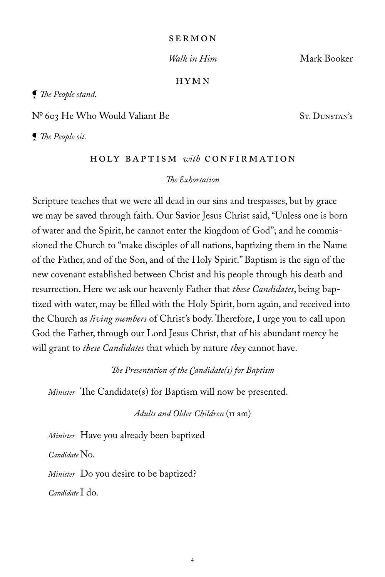#### SERMON

 *Walk in Him* Mark Booker

#### HYMN

**[** The People stand.

Nº 603 He Who Would Valiant Be ST. DUNSTAN'S

*<u>I</u> The People sit.* 

### holy baptism *with* Confirmation

### **The Exhortation**

Scripture teaches that we were all dead in our sins and trespasses, but by grace we may be saved through faith. Our Savior Jesus Christ said, "Unless one is born of water and the Spirit, he cannot enter the kingdom of God"; and he commissioned the Church to "make disciples of all nations, baptizing them in the Name of the Father, and of the Son, and of the Holy Spirit." Baptism is the sign of the new covenant established between Christ and his people through his death and resurrection. Here we ask our heavenly Father that *these Candidates*, being baptized with water, may be filled with the Holy Spirit, born again, and received into the Church as *living members* of Christ's body. Therefore, I urge you to call upon God the Father, through our Lord Jesus Christ, that of his abundant mercy he will grant to *these Candidates* that which by nature *they* cannot have.

*The Presentation of the Candidate(s) for Baptism* 

*Minister* The Candidate(s) for Baptism will now be presented.

*Adults and Older Children* (11 am)

*Minister* Have you already been baptized *Candidate* No. *Minister* Do you desire to be baptized? *Candidate* I do.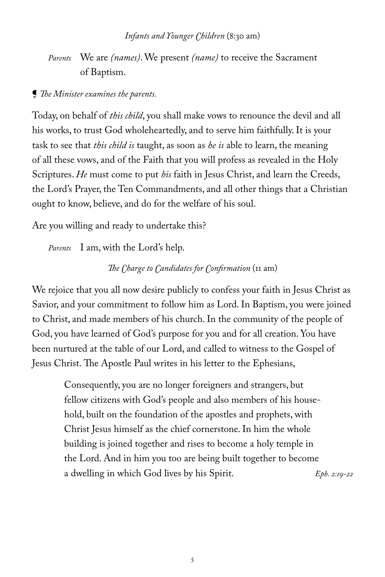*Parents* We are *(names)*. We present *(name)* to receive the Sacrament of Baptism.

### *{ The Minister examines the parents.*

Today, on behalf of *this child*, you shall make vows to renounce the devil and all his works, to trust God wholeheartedly, and to serve him faithfully. It is your task to see that *this child is* taught, as soon as *he is* able to learn, the meaning of all these vows, and of the Faith that you will profess as revealed in the Holy Scriptures. *He* must come to put *his* faith in Jesus Christ, and learn the Creeds, the Lord's Prayer, the Ten Commandments, and all other things that a Christian ought to know, believe, and do for the welfare of his soul.

Are you willing and ready to undertake this?

*Parents* I am, with the Lord's help.

### *The Charge to Candidates for Confirmation* (11 am)

We rejoice that you all now desire publicly to confess your faith in Jesus Christ as Savior, and your commitment to follow him as Lord. In Baptism, you were joined to Christ, and made members of his church. In the community of the people of God, you have learned of God's purpose for you and for all creation. You have been nurtured at the table of our Lord, and called to witness to the Gospel of Jesus Christ. The Apostle Paul writes in his letter to the Ephesians,

> Consequently, you are no longer foreigners and strangers, but fellow citizens with God's people and also members of his household, built on the foundation of the apostles and prophets, with Christ Jesus himself as the chief cornerstone. In him the whole building is joined together and rises to become a holy temple in the Lord. And in him you too are being built together to become a dwelling in which God lives by his Spirit. *Eph. 2:19-22*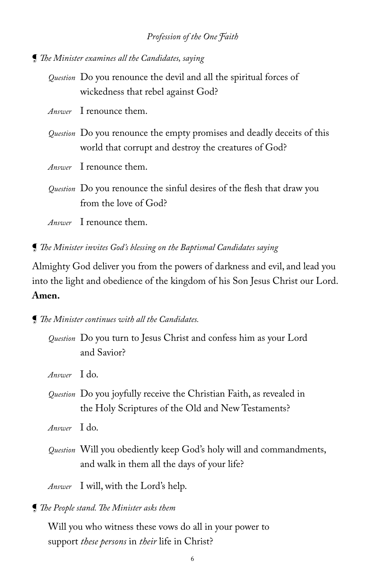**[** The Minister examines all the Candidates, saying

*Question* Do you renounce the devil and all the spiritual forces of wickedness that rebel against God?

*Answer* I renounce them.

- *Question* Do you renounce the empty promises and deadly deceits of this world that corrupt and destroy the creatures of God?
- *Answer* I renounce them.

*Question* Do you renounce the sinful desires of the flesh that draw you from the love of God?

- *Answer* I renounce them.
- **[ The Minister invites God's blessing on the Baptismal Candidates saying**

Almighty God deliver you from the powers of darkness and evil, and lead you into the light and obedience of the kingdom of his Son Jesus Christ our Lord. **Amen.**

*<u>I</u> The Minister continues with all the Candidates.* 

 *Question* Do you turn to Jesus Christ and confess him as your Lord and Savior?

*Answer* I do.

 *Question* Do you joyfully receive the Christian Faith, as revealed in the Holy Scriptures of the Old and New Testaments?

*Answer* I do.

*Question* Will you obediently keep God's holy will and commandments, and walk in them all the days of your life?

 *Answer* I will, with the Lord's help.

**[ The People stand. The Minister asks them** 

 Will you who witness these vows do all in your power to support *these persons* in *their* life in Christ?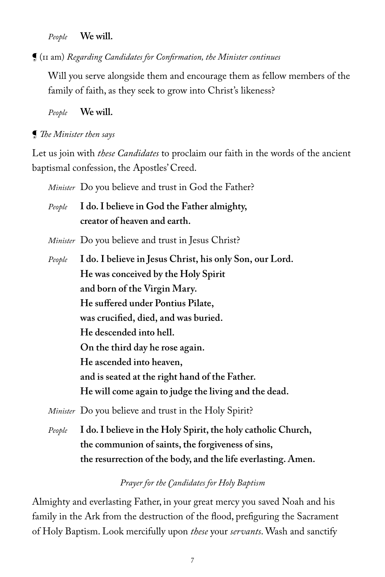*People* **We will.**

 $\P$  (11 am) *Regarding Candidates for Confirmation, the Minister continues* 

Will you serve alongside them and encourage them as fellow members of the family of faith, as they seek to grow into Christ's likeness?

 *People* **We will.**

*<u>I</u> The Minister then says* 

Let us join with *these Candidates* to proclaim our faith in the words of the ancient baptismal confession, the Apostles' Creed.

*Minister* Do you believe and trust in God the Father? *People* **I do. I believe in God the Father almighty, creator of heaven and earth.**  *Minister* Do you believe and trust in Jesus Christ? *People* **I do. I believe in Jesus Christ, his only Son, our Lord. He was conceived by the Holy Spirit and born of the Virgin Mary. He suffered under Pontius Pilate,** was crucified, died, and was buried.  **He descended into hell. On the third day he rose again. He ascended into heaven, and is seated at the right hand of the Father. He will come again to judge the living and the dead.** 

 *Minister* Do you believe and trust in the Holy Spirit?

 *People* **I do. I believe in the Holy Spirit, the holy catholic Church, the communion of saints, the forgiveness of sins, the resurrection of the body, and the life everlasting. Amen.**

### *Prayer for the Candidates for Holy Baptism*

Almighty and everlasting Father, in your great mercy you saved Noah and his family in the Ark from the destruction of the flood, prefiguring the Sacrament of Holy Baptism. Look mercifully upon *these* your *servants*. Wash and sanctify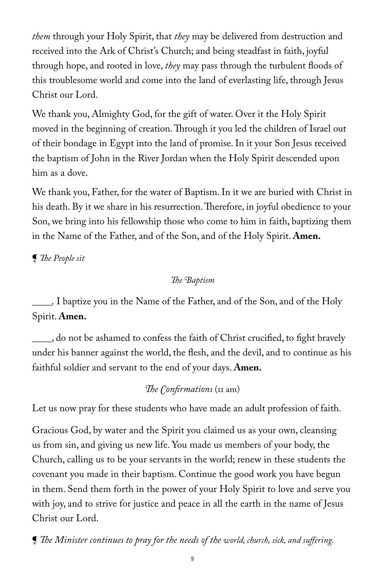*them* through your Holy Spirit, that *they* may be delivered from destruction and received into the Ark of Christ's Church; and being steadfast in faith, joyful through hope, and rooted in love, *they* may pass through the turbulent floods of this troublesome world and come into the land of everlasting life, through Jesus Christ our Lord.

We thank you, Almighty God, for the gift of water. Over it the Holy Spirit moved in the beginning of creation. Through it you led the children of Israel out of their bondage in Egypt into the land of promise. In it your Son Jesus received the baptism of John in the River Jordan when the Holy Spirit descended upon him as a dove.

We thank you, Father, for the water of Baptism. In it we are buried with Christ in his death. By it we share in his resurrection. Therefore, in joyful obedience to your Son, we bring into his fellowship those who come to him in faith, baptizing them in the Name of the Father, and of the Son, and of the Holy Spirit. **Amen.**

 $\P$  *The People sit* 

The Baptism

*\_\_\_\_,* I baptize you in the Name of the Father, and of the Son, and of the Holy Spirit. **Amen.**

**\_\_\_\_**, do not be ashamed to confess the faith of Christ crucified, to fight bravely under his banner against the world, the flesh, and the devil, and to continue as his faithful soldier and servant to the end of your days. **Amen.**

## *The Confirmations* (11 am)

Let us now pray for these students who have made an adult profession of faith.

Gracious God, by water and the Spirit you claimed us as your own, cleansing us from sin, and giving us new life. You made us members of your body, the Church, calling us to be your servants in the world; renew in these students the covenant you made in their baptism. Continue the good work you have begun in them. Send them forth in the power of your Holy Spirit to love and serve you with joy, and to strive for justice and peace in all the earth in the name of Jesus Christ our Lord.

**[ The Minister continues to pray for the needs of the world, church, sick, and suffering.**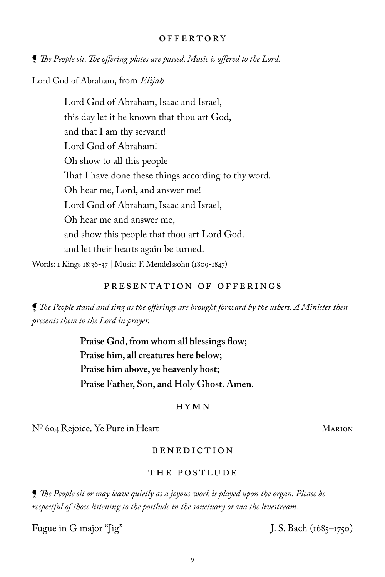#### **OFFERTORY**

**[ The People sit. The offering plates are passed. Music is offered to the Lord.** 

Lord God of Abraham, from *Elijah*

Lord God of Abraham, Isaac and Israel, this day let it be known that thou art God, and that I am thy servant! Lord God of Abraham! Oh show to all this people That I have done these things according to thy word. Oh hear me, Lord, and answer me! Lord God of Abraham, Isaac and Israel, Oh hear me and answer me, and show this people that thou art Lord God. and let their hearts again be turned.

Words: 1 Kings 18:36-37 | Music: F. Mendelssohn (1809-1847)

### Presentation of Offerings

 $\P$  The People stand and sing as the offerings are brought forward by the ushers. A Minister then *presents them to the Lord in prayer.*

> Praise God, from whom all blessings flow; **Praise him, all creatures here below; Praise him above, ye heavenly host; Praise Father, Son, and Holy Ghost. Amen.**

#### HYMN

 $N^{\circ}$  604 Rejoice, Ye Pure in Heart Marion

### **BENEDICTION**

#### The POSTLUDE

 $\P$  *The People sit or may leave quietly as a joyous work is played upon the organ. Please be respectful of those listening to the postlude in the sanctuary or via the livestream.* 

Fugue in G major "Jig" J. S. Bach (1685–1750)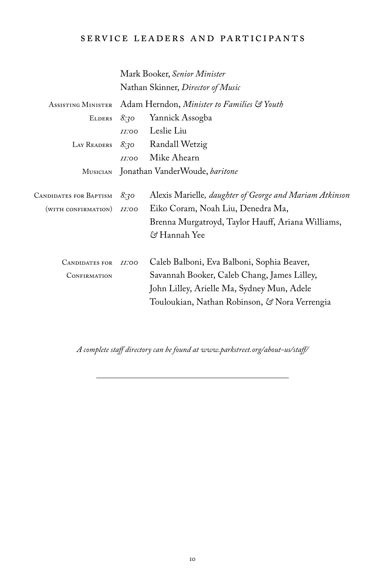### service leaders and participants

|                        |                                            | Mark Booker, Senior Minister                            |  |
|------------------------|--------------------------------------------|---------------------------------------------------------|--|
|                        | Nathan Skinner, Director of Music          |                                                         |  |
| ASSISTING MINISTER     | Adam Herndon, Minister to Families & Youth |                                                         |  |
| <b>ELDERS</b>          | 8:30                                       | Yannick Assogba                                         |  |
|                        | <i><b>II:00</b></i>                        | Leslie Liu                                              |  |
| LAY READERS            | 8:30                                       | Randall Wetzig                                          |  |
|                        | <i>II</i> :00                              | Mike Ahearn                                             |  |
| Musician               | Jonathan VanderWoude, baritone             |                                                         |  |
|                        |                                            |                                                         |  |
| CANDIDATES FOR BAPTISM | 8:30                                       | Alexis Marielle, daughter of George and Mariam Atkinson |  |
| (WITH CONFIRMATION)    | <i><b>II:00</b></i>                        | Eiko Coram, Noah Liu, Denedra Ma,                       |  |
|                        |                                            | Brenna Murgatroyd, Taylor Hauff, Ariana Williams,       |  |
|                        |                                            | පි Hannah Yee                                           |  |
|                        |                                            |                                                         |  |
| <b>CANDIDATES FOR</b>  | II:OO                                      | Caleb Balboni, Eva Balboni, Sophia Beaver,              |  |
| CONFIRMATION           |                                            | Savannah Booker, Caleb Chang, James Lilley,             |  |
|                        |                                            | John Lilley, Arielle Ma, Sydney Mun, Adele              |  |
|                        |                                            | Touloukian, Nathan Robinson, & Nora Verrengia           |  |

*A complete sta% directory can be found at www.parkstreet.org/about-us/sta% /*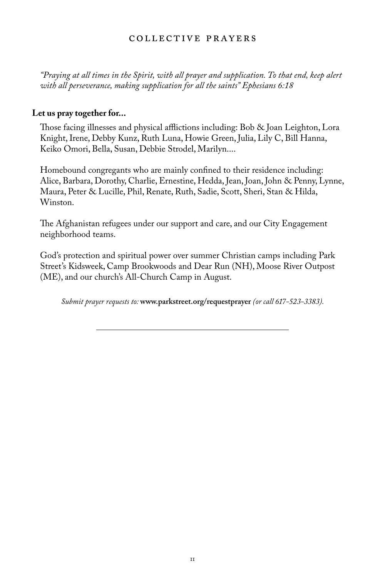### COLLECTIVE PRAYERS

*"Praying at all times in the Spirit, with all prayer and supplication. To that end, keep alert with all perseverance, making supplication for all the saints" Ephesians 6:18*

#### **Let us pray together for...**

Those facing illnesses and physical afflictions including: Bob  $\&$  Joan Leighton, Lora Knight, Irene, Debby Kunz, Ruth Luna, Howie Green, Julia, Lily C, Bill Hanna, Keiko Omori, Bella, Susan, Debbie Strodel, Marilyn....

Homebound congregants who are mainly confined to their residence including: Alice, Barbara, Dorothy, Charlie, Ernestine, Hedda, Jean, Joan, John & Penny, Lynne, Maura, Peter & Lucille, Phil, Renate, Ruth, Sadie, Scott, Sheri, Stan & Hilda, Winston.

The Afghanistan refugees under our support and care, and our City Engagement neighborhood teams.

God's protection and spiritual power over summer Christian camps including Park Street's Kidsweek, Camp Brookwoods and Dear Run (NH), Moose River Outpost (ME), and our church's All-Church Camp in August.

*Submit prayer requests to:* **www.parkstreet.org/requestprayer** *(or call 617-523-3383).*